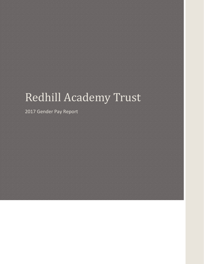### Redhill Academy Trust

2017 Gender Pay Report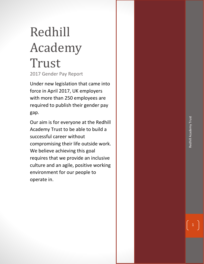# Redhill Academy Trust Redhill Academy Trust

## Redhill Academy Trust

2017 Gender Pay Report

Under new legislation that came into force in April 2017, UK employers with more than 250 employees are required to publish their gender pay gap.

Our aim is for everyone at the Redhill Academy Trust to be able to build a successful career without compromising their life outside work. We believe achieving this goal requires that we provide an inclusive culture and an agile, positive working environment for our people to operate in.